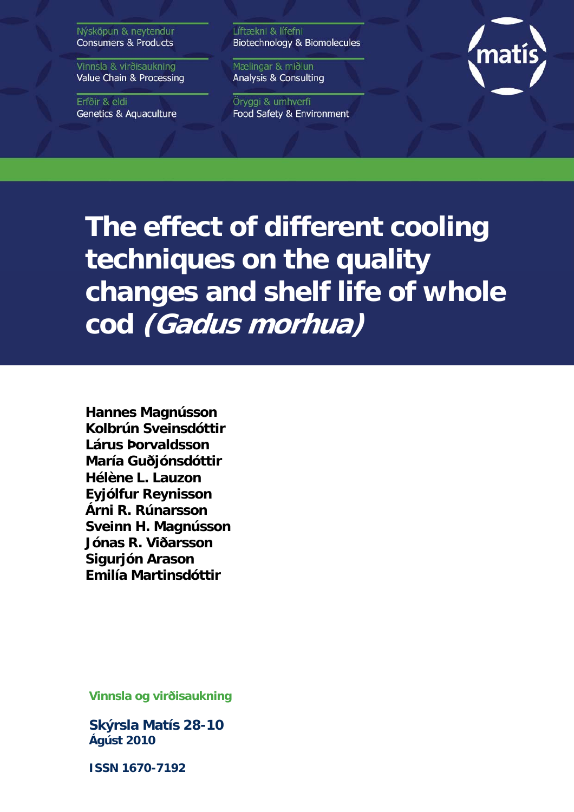Nýsköpun & neytendur **Consumers & Products** 

Vinnsla & virðisaukning Value Chain & Processing

Erfðir & eldi **Genetics & Aquaculture**  Líftækni & lífefni Biotechnology & Biomolecules

Mælingar & miðlun Analysis & Consulting

Öryggi & umhverfi Food Safety & Environment



**The effect of different cooling techniques on the quality changes and shelf life of whole cod (Gadus morhua)** 

**Hannes Magnússon Kolbrún Sveinsdóttir Lárus Þorvaldsson María Guðjónsdóttir Hélène L. Lauzon Eyjólfur Reynisson Árni R. Rúnarsson Sveinn H. Magnússon Jónas R. Viðarsson Sigurjón Arason Emilía Martinsdóttir**

**Vinnsla og virðisaukning** 

**Skýrsla Matís 28-10 Ágúst 2010** 

**ISSN 1670-7192**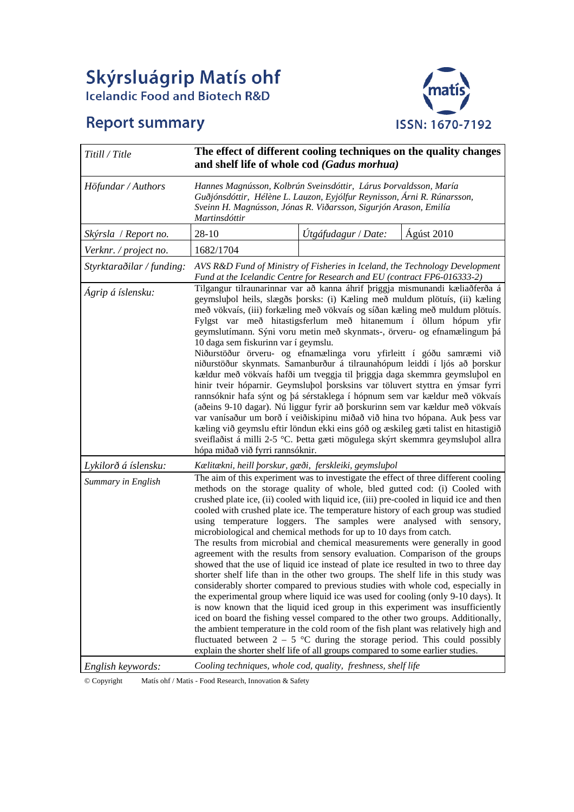# Skýrsluágrip Matís ohf<br>Icelandic Food and Biotech R&D

# **Report summary**



| Titill / Title            | The effect of different cooling techniques on the quality changes<br>and shelf life of whole cod (Gadus morhua)                                                                                                                                                                                                                                                                                                                                                                                                                                                                                                                                                                                                                                                                                                                                                                                                                                                                                                                                                                                                                                                                                                     |                     |                                                                                                                                                                                                                                                                                                                                                                                                                                                                                                                                                                                                                                                                                                                                                                                                                                                          |  |  |  |  |
|---------------------------|---------------------------------------------------------------------------------------------------------------------------------------------------------------------------------------------------------------------------------------------------------------------------------------------------------------------------------------------------------------------------------------------------------------------------------------------------------------------------------------------------------------------------------------------------------------------------------------------------------------------------------------------------------------------------------------------------------------------------------------------------------------------------------------------------------------------------------------------------------------------------------------------------------------------------------------------------------------------------------------------------------------------------------------------------------------------------------------------------------------------------------------------------------------------------------------------------------------------|---------------------|----------------------------------------------------------------------------------------------------------------------------------------------------------------------------------------------------------------------------------------------------------------------------------------------------------------------------------------------------------------------------------------------------------------------------------------------------------------------------------------------------------------------------------------------------------------------------------------------------------------------------------------------------------------------------------------------------------------------------------------------------------------------------------------------------------------------------------------------------------|--|--|--|--|
| Höfundar / Authors        | Hannes Magnússon, Kolbrún Sveinsdóttir, Lárus Þorvaldsson, María<br>Guðjónsdóttir, Hélène L. Lauzon, Eyjólfur Reynisson, Árni R. Rúnarsson,<br>Sveinn H. Magnússon, Jónas R. Viðarsson, Sigurjón Arason, Emilía<br>Martinsdóttir                                                                                                                                                                                                                                                                                                                                                                                                                                                                                                                                                                                                                                                                                                                                                                                                                                                                                                                                                                                    |                     |                                                                                                                                                                                                                                                                                                                                                                                                                                                                                                                                                                                                                                                                                                                                                                                                                                                          |  |  |  |  |
| Skýrsla / Report no.      | $28 - 10$                                                                                                                                                                                                                                                                                                                                                                                                                                                                                                                                                                                                                                                                                                                                                                                                                                                                                                                                                                                                                                                                                                                                                                                                           | Útgáfudagur / Date: | Ágúst 2010                                                                                                                                                                                                                                                                                                                                                                                                                                                                                                                                                                                                                                                                                                                                                                                                                                               |  |  |  |  |
| Verknr. / project no.     | 1682/1704                                                                                                                                                                                                                                                                                                                                                                                                                                                                                                                                                                                                                                                                                                                                                                                                                                                                                                                                                                                                                                                                                                                                                                                                           |                     |                                                                                                                                                                                                                                                                                                                                                                                                                                                                                                                                                                                                                                                                                                                                                                                                                                                          |  |  |  |  |
| Styrktaraðilar / funding: | AVS R&D Fund of Ministry of Fisheries in Iceland, the Technology Development<br>Fund at the Icelandic Centre for Research and EU (contract FP6-016333-2)                                                                                                                                                                                                                                                                                                                                                                                                                                                                                                                                                                                                                                                                                                                                                                                                                                                                                                                                                                                                                                                            |                     |                                                                                                                                                                                                                                                                                                                                                                                                                                                                                                                                                                                                                                                                                                                                                                                                                                                          |  |  |  |  |
| Ágrip á íslensku:         | Tilgangur tilraunarinnar var að kanna áhrif þriggja mismunandi kæliaðferða á<br>geymslubol heils, slægðs þorsks: (i) Kæling með muldum plötuís, (ii) kæling<br>með vökvaís, (iii) forkæling með vökvaís og síðan kæling með muldum plötuís.<br>Fylgst var með hitastigsferlum með hitanemum í öllum hópum yfir<br>geymslutímann. Sýni voru metin með skynmats-, örveru- og efnamælingum þá<br>10 daga sem fiskurinn var í geymslu.<br>Niðurstöður örveru- og efnamælinga voru yfirleitt í góðu samræmi við<br>niðurstöður skynmats. Samanburður á tilraunahópum leiddi í ljós að þorskur<br>kældur með vökvaís hafði um tveggja til þriggja daga skemmra geymsluþol en<br>hinir tveir hóparnir. Geymslubol þorsksins var töluvert styttra en ýmsar fyrri<br>rannsóknir hafa sýnt og þá sérstaklega í hópnum sem var kældur með vökvaís<br>(aðeins 9-10 dagar). Nú liggur fyrir að þorskurinn sem var kældur með vökvaís<br>var vanísaður um borð í veiðiskipinu miðað við hina tvo hópana. Auk þess var<br>kæling við geymslu eftir löndun ekki eins góð og æskileg gæti talist en hitastigið<br>sveiflaðist á milli 2-5 °C. Þetta gæti mögulega skýrt skemmra geymsluþol allra<br>hópa miðað við fyrri rannsóknir. |                     |                                                                                                                                                                                                                                                                                                                                                                                                                                                                                                                                                                                                                                                                                                                                                                                                                                                          |  |  |  |  |
| Lykilorð á íslensku:      | Kælitækni, heill þorskur, gæði, ferskleiki, geymsluþol                                                                                                                                                                                                                                                                                                                                                                                                                                                                                                                                                                                                                                                                                                                                                                                                                                                                                                                                                                                                                                                                                                                                                              |                     |                                                                                                                                                                                                                                                                                                                                                                                                                                                                                                                                                                                                                                                                                                                                                                                                                                                          |  |  |  |  |
| Summary in English        | crushed plate ice, (ii) cooled with liquid ice, (iii) pre-cooled in liquid ice and then<br>using temperature loggers. The samples were analysed with sensory,<br>microbiological and chemical methods for up to 10 days from catch.<br>shorter shelf life than in the other two groups. The shelf life in this study was<br>is now known that the liquid iced group in this experiment was insufficiently<br>iced on board the fishing vessel compared to the other two groups. Additionally,<br>explain the shorter shelf life of all groups compared to some earlier studies.                                                                                                                                                                                                                                                                                                                                                                                                                                                                                                                                                                                                                                     |                     | The aim of this experiment was to investigate the effect of three different cooling<br>methods on the storage quality of whole, bled gutted cod: (i) Cooled with<br>cooled with crushed plate ice. The temperature history of each group was studied<br>The results from microbial and chemical measurements were generally in good<br>agreement with the results from sensory evaluation. Comparison of the groups<br>showed that the use of liquid ice instead of plate ice resulted in two to three day<br>considerably shorter compared to previous studies with whole cod, especially in<br>the experimental group where liquid ice was used for cooling (only 9-10 days). It<br>the ambient temperature in the cold room of the fish plant was relatively high and<br>fluctuated between $2 - 5$ °C during the storage period. This could possibly |  |  |  |  |
| English keywords:         | Cooling techniques, whole cod, quality, freshness, shelf life                                                                                                                                                                                                                                                                                                                                                                                                                                                                                                                                                                                                                                                                                                                                                                                                                                                                                                                                                                                                                                                                                                                                                       |                     |                                                                                                                                                                                                                                                                                                                                                                                                                                                                                                                                                                                                                                                                                                                                                                                                                                                          |  |  |  |  |

© Copyright Matís ohf / Matis - Food Research, Innovation & Safety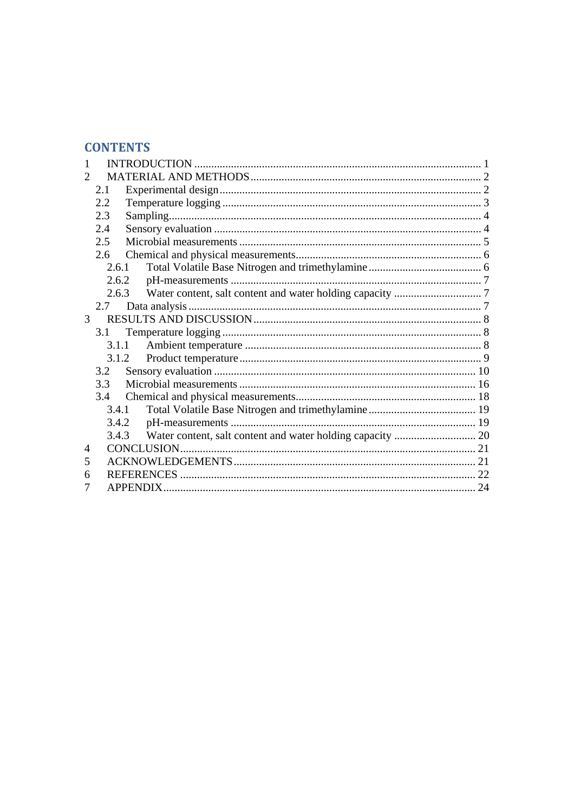# **CONTENTS**

| 2.1            |                                                    |
|----------------|----------------------------------------------------|
| 2.2            |                                                    |
| 2.3            |                                                    |
| 2.4            |                                                    |
| 2.5            |                                                    |
| 2.6            |                                                    |
|                |                                                    |
|                |                                                    |
|                |                                                    |
| 2.7            |                                                    |
| 3 <sup>1</sup> |                                                    |
| 3.1            |                                                    |
|                |                                                    |
|                |                                                    |
| 3.2            |                                                    |
| 3.3            |                                                    |
| 3.4            |                                                    |
|                |                                                    |
|                |                                                    |
|                |                                                    |
|                |                                                    |
|                |                                                    |
|                |                                                    |
|                |                                                    |
|                | 2.6.1<br>2.6.3<br>3.1.1<br>3.1.2<br>3.4.1<br>3.4.3 |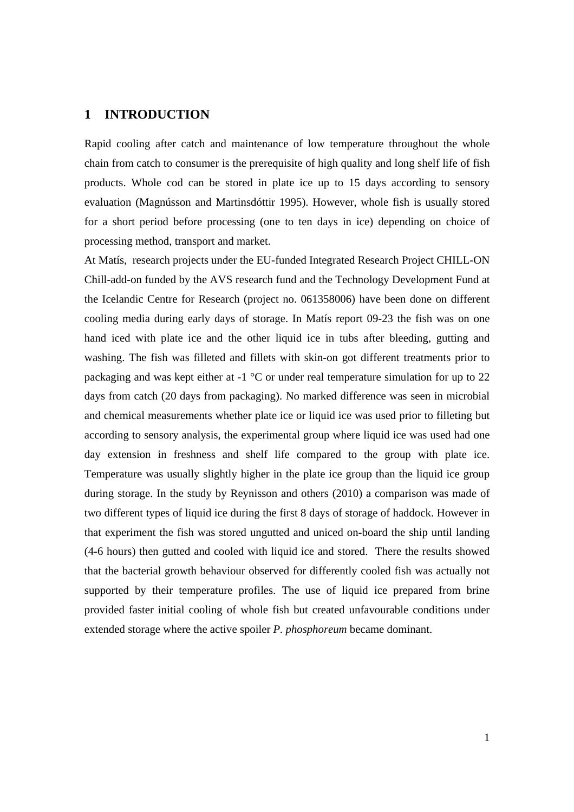## **1 INTRODUCTION**

Rapid cooling after catch and maintenance of low temperature throughout the whole chain from catch to consumer is the prerequisite of high quality and long shelf life of fish products. Whole cod can be stored in plate ice up to 15 days according to sensory evaluation (Magnússon and Martinsdóttir 1995). However, whole fish is usually stored for a short period before processing (one to ten days in ice) depending on choice of processing method, transport and market.

At Matís, research projects under the EU-funded Integrated Research Project CHILL-ON Chill-add-on funded by the AVS research fund and the Technology Development Fund at the Icelandic Centre for Research (project no. 061358006) have been done on different cooling media during early days of storage. In Matís report 09-23 the fish was on one hand iced with plate ice and the other liquid ice in tubs after bleeding, gutting and washing. The fish was filleted and fillets with skin-on got different treatments prior to packaging and was kept either at -1 °C or under real temperature simulation for up to 22 days from catch (20 days from packaging). No marked difference was seen in microbial and chemical measurements whether plate ice or liquid ice was used prior to filleting but according to sensory analysis, the experimental group where liquid ice was used had one day extension in freshness and shelf life compared to the group with plate ice. Temperature was usually slightly higher in the plate ice group than the liquid ice group during storage. In the study by Reynisson and others (2010) a comparison was made of two different types of liquid ice during the first 8 days of storage of haddock. However in that experiment the fish was stored ungutted and uniced on-board the ship until landing (4-6 hours) then gutted and cooled with liquid ice and stored. There the results showed that the bacterial growth behaviour observed for differently cooled fish was actually not supported by their temperature profiles. The use of liquid ice prepared from brine provided faster initial cooling of whole fish but created unfavourable conditions under extended storage where the active spoiler *P. phosphoreum* became dominant.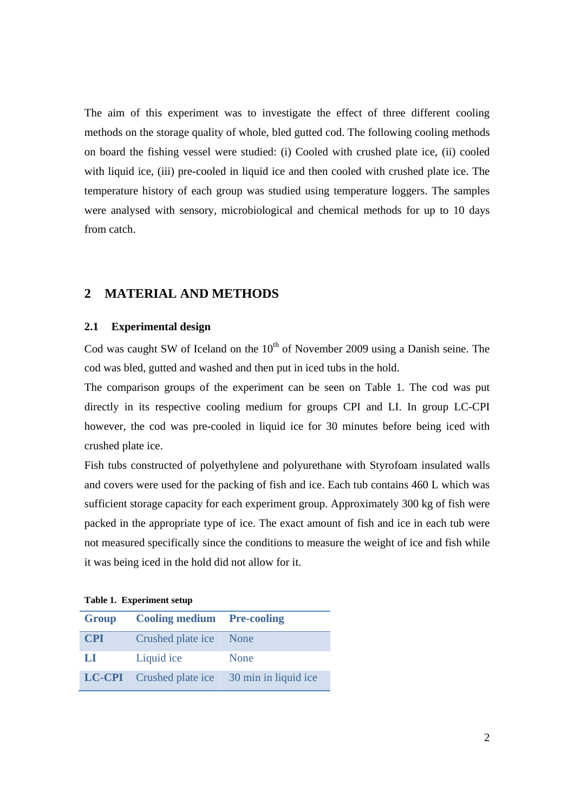The aim of this experiment was to investigate the effect of three different cooling methods on the storage quality of whole, bled gutted cod. The following cooling methods on board the fishing vessel were studied: (i) Cooled with crushed plate ice, (ii) cooled with liquid ice, (iii) pre-cooled in liquid ice and then cooled with crushed plate ice. The temperature history of each group was studied using temperature loggers. The samples were analysed with sensory, microbiological and chemical methods for up to 10 days from catch.

# **2 MATERIAL AND METHODS**

## **2.1 Experimental design**

Cod was caught SW of Iceland on the  $10<sup>th</sup>$  of November 2009 using a Danish seine. The cod was bled, gutted and washed and then put in iced tubs in the hold.

The comparison groups of the experiment can be seen on Table 1. The cod was put directly in its respective cooling medium for groups CPI and LI. In group LC-CPI however, the cod was pre-cooled in liquid ice for 30 minutes before being iced with crushed plate ice.

Fish tubs constructed of polyethylene and polyurethane with Styrofoam insulated walls and covers were used for the packing of fish and ice. Each tub contains 460 L which was sufficient storage capacity for each experiment group. Approximately 300 kg of fish were packed in the appropriate type of ice. The exact amount of fish and ice in each tub were not measured specifically since the conditions to measure the weight of ice and fish while it was being iced in the hold did not allow for it.

| Group      | <b>Cooling medium Pre-cooling</b> |                                                      |
|------------|-----------------------------------|------------------------------------------------------|
| <b>CPI</b> | Crushed plate ice None            |                                                      |
| LI.        | Liquid ice                        | None                                                 |
|            |                                   | <b>LC-CPI</b> Crushed plate ice 30 min in liquid ice |

**Table 1. Experiment setup**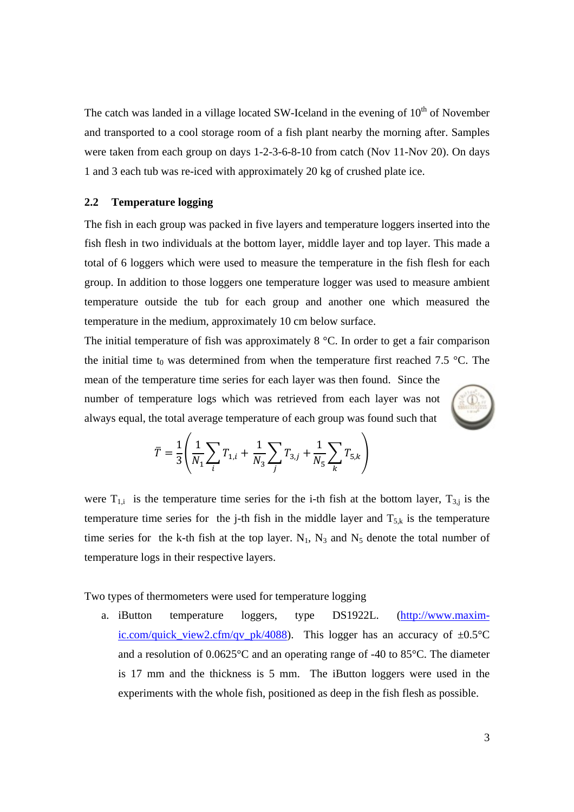The catch was landed in a village located SW-Iceland in the evening of  $10<sup>th</sup>$  of November and transported to a cool storage room of a fish plant nearby the morning after. Samples were taken from each group on days 1-2-3-6-8-10 from catch (Nov 11-Nov 20). On days 1 and 3 each tub was re-iced with approximately 20 kg of crushed plate ice.

#### **2.2 Temperature logging**

The fish in each group was packed in five layers and temperature loggers inserted into the fish flesh in two individuals at the bottom layer, middle layer and top layer. This made a total of 6 loggers which were used to measure the temperature in the fish flesh for each group. In addition to those loggers one temperature logger was used to measure ambient temperature outside the tub for each group and another one which measured the temperature in the medium, approximately 10 cm below surface.

The initial temperature of fish was approximately 8 °C. In order to get a fair comparison the initial time t<sub>0</sub> was determined from when the temperature first reached 7.5 °C. The mean of the temperature time series for each layer was then found. Since the number of temperature logs which was retrieved from each layer was not always equal, the total average temperature of each group was found such that



$$
\overline{T} = \frac{1}{3} \left( \frac{1}{N_1} \sum_{i} T_{1,i} + \frac{1}{N_3} \sum_{j} T_{3,j} + \frac{1}{N_5} \sum_{k} T_{5,k} \right)
$$

were  $T_{1,i}$  is the temperature time series for the i-th fish at the bottom layer,  $T_{3,j}$  is the temperature time series for the j-th fish in the middle layer and  $T_{5,k}$  is the temperature time series for the k-th fish at the top layer.  $N_1$ ,  $N_3$  and  $N_5$  denote the total number of temperature logs in their respective layers.

Two types of thermometers were used for temperature logging

a. iButton temperature loggers, type DS1922L. (http://www.maximic.com/quick view2.cfm/qv\_pk/4088). This logger has an accuracy of  $\pm 0.5^{\circ}C$ and a resolution of 0.0625°C and an operating range of -40 to 85°C. The diameter is 17 mm and the thickness is 5 mm. The iButton loggers were used in the experiments with the whole fish, positioned as deep in the fish flesh as possible.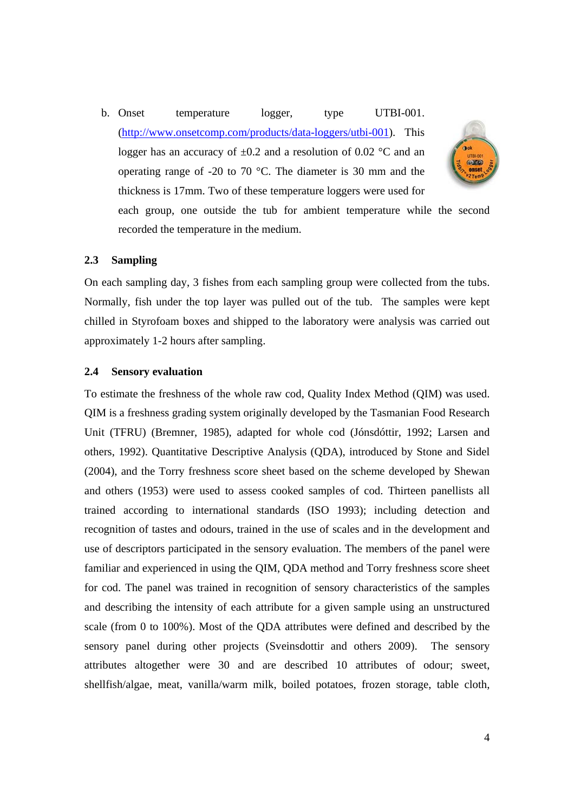b. Onset temperature logger, type UTBI-001. (http://www.onsetcomp.com/products/data-loggers/utbi-001). This logger has an accuracy of  $\pm 0.2$  and a resolution of 0.02 °C and an operating range of -20 to 70 °C. The diameter is 30 mm and the thickness is 17mm. Two of these temperature loggers were used for



each group, one outside the tub for ambient temperature while the second recorded the temperature in the medium.

## **2.3 Sampling**

On each sampling day, 3 fishes from each sampling group were collected from the tubs. Normally, fish under the top layer was pulled out of the tub. The samples were kept chilled in Styrofoam boxes and shipped to the laboratory were analysis was carried out approximately 1-2 hours after sampling.

#### **2.4 Sensory evaluation**

To estimate the freshness of the whole raw cod, Quality Index Method (QIM) was used. QIM is a freshness grading system originally developed by the Tasmanian Food Research Unit (TFRU) (Bremner, 1985), adapted for whole cod (Jónsdóttir, 1992; Larsen and others, 1992). Quantitative Descriptive Analysis (QDA), introduced by Stone and Sidel (2004), and the Torry freshness score sheet based on the scheme developed by Shewan and others (1953) were used to assess cooked samples of cod. Thirteen panellists all trained according to international standards (ISO 1993); including detection and recognition of tastes and odours, trained in the use of scales and in the development and use of descriptors participated in the sensory evaluation. The members of the panel were familiar and experienced in using the QIM, QDA method and Torry freshness score sheet for cod. The panel was trained in recognition of sensory characteristics of the samples and describing the intensity of each attribute for a given sample using an unstructured scale (from 0 to 100%). Most of the QDA attributes were defined and described by the sensory panel during other projects (Sveinsdottir and others 2009). The sensory attributes altogether were 30 and are described 10 attributes of odour; sweet, shellfish/algae, meat, vanilla/warm milk, boiled potatoes, frozen storage, table cloth,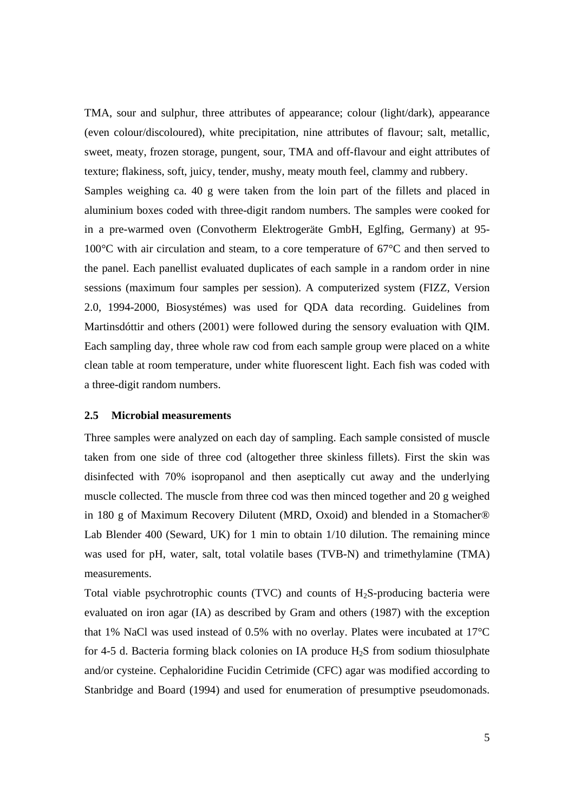TMA, sour and sulphur, three attributes of appearance; colour (light/dark), appearance (even colour/discoloured), white precipitation, nine attributes of flavour; salt, metallic, sweet, meaty, frozen storage, pungent, sour, TMA and off-flavour and eight attributes of texture; flakiness, soft, juicy, tender, mushy, meaty mouth feel, clammy and rubbery. Samples weighing ca. 40 g were taken from the loin part of the fillets and placed in aluminium boxes coded with three-digit random numbers. The samples were cooked for in a pre-warmed oven (Convotherm Elektrogeräte GmbH, Eglfing, Germany) at 95- 100°C with air circulation and steam, to a core temperature of 67°C and then served to the panel. Each panellist evaluated duplicates of each sample in a random order in nine sessions (maximum four samples per session). A computerized system (FIZZ, Version 2.0, 1994-2000, Biosystémes) was used for QDA data recording. Guidelines from Martinsdóttir and others (2001) were followed during the sensory evaluation with QIM. Each sampling day, three whole raw cod from each sample group were placed on a white clean table at room temperature, under white fluorescent light. Each fish was coded with a three-digit random numbers.

## **2.5 Microbial measurements**

Three samples were analyzed on each day of sampling. Each sample consisted of muscle taken from one side of three cod (altogether three skinless fillets). First the skin was disinfected with 70% isopropanol and then aseptically cut away and the underlying muscle collected. The muscle from three cod was then minced together and 20 g weighed in 180 g of Maximum Recovery Dilutent (MRD, Oxoid) and blended in a Stomacher® Lab Blender 400 (Seward, UK) for 1 min to obtain 1/10 dilution. The remaining mince was used for pH, water, salt, total volatile bases (TVB-N) and trimethylamine (TMA) measurements.

Total viable psychrotrophic counts (TVC) and counts of  $H<sub>2</sub>S$ -producing bacteria were evaluated on iron agar (IA) as described by Gram and others (1987) with the exception that 1% NaCl was used instead of 0.5% with no overlay. Plates were incubated at 17°C for 4-5 d. Bacteria forming black colonies on IA produce  $H_2S$  from sodium thiosulphate and/or cysteine. Cephaloridine Fucidin Cetrimide (CFC) agar was modified according to Stanbridge and Board (1994) and used for enumeration of presumptive pseudomonads.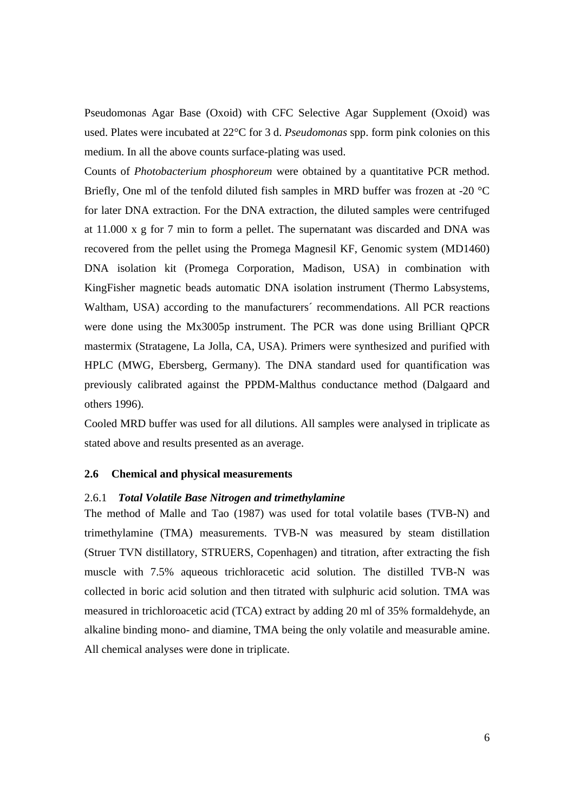Pseudomonas Agar Base (Oxoid) with CFC Selective Agar Supplement (Oxoid) was used. Plates were incubated at 22°C for 3 d. *Pseudomonas* spp. form pink colonies on this medium. In all the above counts surface-plating was used.

Counts of *Photobacterium phosphoreum* were obtained by a quantitative PCR method. Briefly, One ml of the tenfold diluted fish samples in MRD buffer was frozen at -20 °C for later DNA extraction. For the DNA extraction, the diluted samples were centrifuged at 11.000 x g for 7 min to form a pellet. The supernatant was discarded and DNA was recovered from the pellet using the Promega Magnesil KF, Genomic system (MD1460) DNA isolation kit (Promega Corporation, Madison, USA) in combination with KingFisher magnetic beads automatic DNA isolation instrument (Thermo Labsystems, Waltham, USA) according to the manufacturers´ recommendations. All PCR reactions were done using the Mx3005p instrument. The PCR was done using Brilliant QPCR mastermix (Stratagene, La Jolla, CA, USA). Primers were synthesized and purified with HPLC (MWG, Ebersberg, Germany). The DNA standard used for quantification was previously calibrated against the PPDM-Malthus conductance method (Dalgaard and others 1996).

Cooled MRD buffer was used for all dilutions. All samples were analysed in triplicate as stated above and results presented as an average.

## **2.6 Chemical and physical measurements**

### 2.6.1 *Total Volatile Base Nitrogen and trimethylamine*

The method of Malle and Tao (1987) was used for total volatile bases (TVB-N) and trimethylamine (TMA) measurements. TVB-N was measured by steam distillation (Struer TVN distillatory, STRUERS, Copenhagen) and titration, after extracting the fish muscle with 7.5% aqueous trichloracetic acid solution. The distilled TVB-N was collected in boric acid solution and then titrated with sulphuric acid solution. TMA was measured in trichloroacetic acid (TCA) extract by adding 20 ml of 35% formaldehyde, an alkaline binding mono- and diamine, TMA being the only volatile and measurable amine. All chemical analyses were done in triplicate.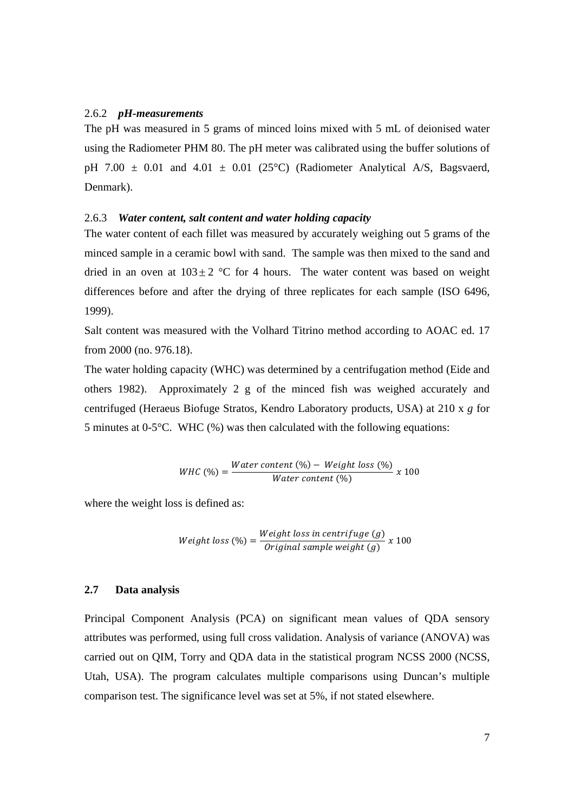#### 2.6.2 *pH-measurements*

The pH was measured in 5 grams of minced loins mixed with 5 mL of deionised water using the Radiometer PHM 80. The pH meter was calibrated using the buffer solutions of pH 7.00  $\pm$  0.01 and 4.01  $\pm$  0.01 (25°C) (Radiometer Analytical A/S, Bagsvaerd, Denmark).

## 2.6.3 *Water content, salt content and water holding capacity*

The water content of each fillet was measured by accurately weighing out 5 grams of the minced sample in a ceramic bowl with sand. The sample was then mixed to the sand and dried in an oven at  $103 \pm 2$  °C for 4 hours. The water content was based on weight differences before and after the drying of three replicates for each sample (ISO 6496, 1999).

Salt content was measured with the Volhard Titrino method according to AOAC ed. 17 from 2000 (no. 976.18).

The water holding capacity (WHC) was determined by a centrifugation method (Eide and others 1982). Approximately 2 g of the minced fish was weighed accurately and centrifuged (Heraeus Biofuge Stratos, Kendro Laboratory products, USA) at 210 x *g* for 5 minutes at 0-5°C. WHC (%) was then calculated with the following equations:

$$
WHC\left(\% \right) = \frac{Water\ content\left(\% \right) - Weight\ loss\left(\% \right)}{Water\ content\left(\% \right)}\ x\ 100
$$

where the weight loss is defined as:

Weight loss (
$$
\%
$$
) =  $\frac{Weight \text{ loss in centrifuge}(g)}{Original \text{ sample weight}(g)} x 100$ 

## **2.7 Data analysis**

Principal Component Analysis (PCA) on significant mean values of QDA sensory attributes was performed, using full cross validation. Analysis of variance (ANOVA) was carried out on QIM, Torry and QDA data in the statistical program NCSS 2000 (NCSS, Utah, USA). The program calculates multiple comparisons using Duncan's multiple comparison test. The significance level was set at 5%, if not stated elsewhere.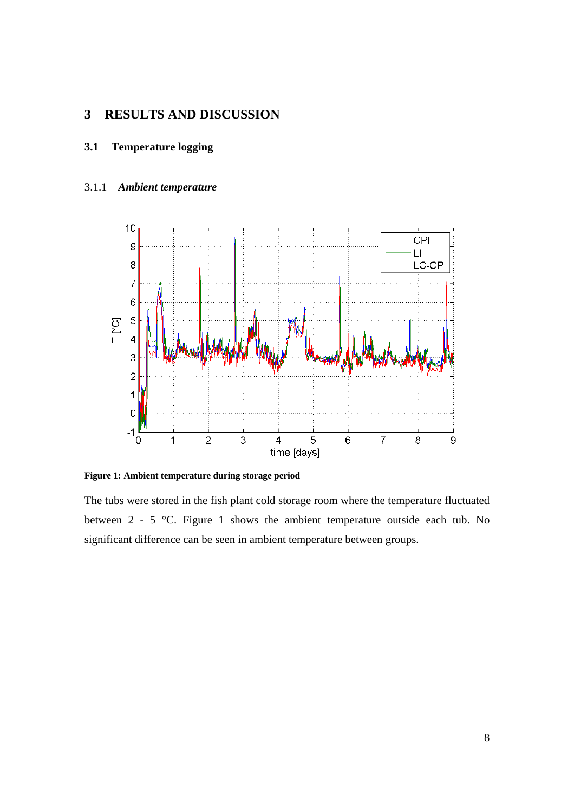# **3 RESULTS AND DISCUSSION**

## **3.1 Temperature logging**

## 3.1.1 *Ambient temperature*



**Figure 1: Ambient temperature during storage period** 

The tubs were stored in the fish plant cold storage room where the temperature fluctuated between 2 - 5 °C. Figure 1 shows the ambient temperature outside each tub. No significant difference can be seen in ambient temperature between groups.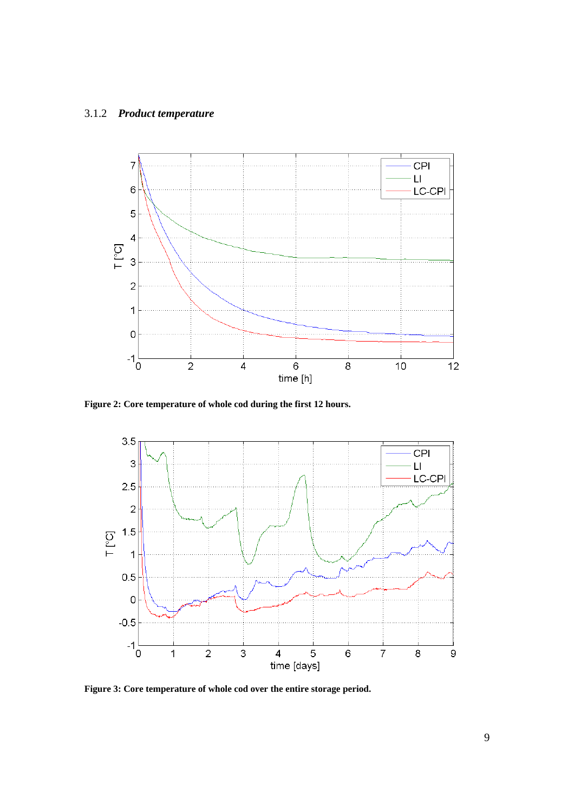# 3.1.2 *Product temperature*



**Figure 2: Core temperature of whole cod during the first 12 hours.** 



**Figure 3: Core temperature of whole cod over the entire storage period.**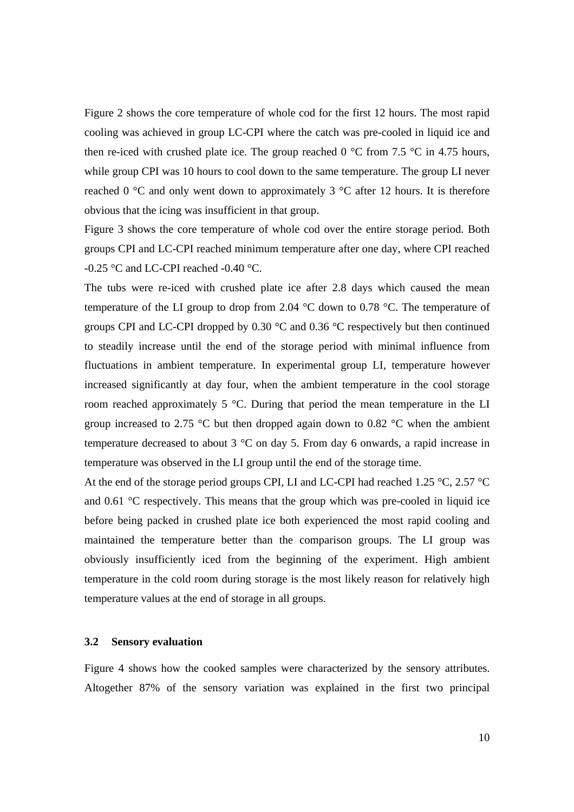Figure 2 shows the core temperature of whole cod for the first 12 hours. The most rapid cooling was achieved in group LC-CPI where the catch was pre-cooled in liquid ice and then re-iced with crushed plate ice. The group reached 0  $^{\circ}$ C from 7.5  $^{\circ}$ C in 4.75 hours, while group CPI was 10 hours to cool down to the same temperature. The group LI never reached 0  $\degree$ C and only went down to approximately 3  $\degree$ C after 12 hours. It is therefore obvious that the icing was insufficient in that group.

Figure 3 shows the core temperature of whole cod over the entire storage period. Both groups CPI and LC-CPI reached minimum temperature after one day, where CPI reached -0.25 °C and LC-CPI reached -0.40 °C.

The tubs were re-iced with crushed plate ice after 2.8 days which caused the mean temperature of the LI group to drop from 2.04 °C down to 0.78 °C. The temperature of groups CPI and LC-CPI dropped by 0.30 °C and 0.36 °C respectively but then continued to steadily increase until the end of the storage period with minimal influence from fluctuations in ambient temperature. In experimental group LI, temperature however increased significantly at day four, when the ambient temperature in the cool storage room reached approximately 5 °C. During that period the mean temperature in the LI group increased to 2.75  $\degree$ C but then dropped again down to 0.82  $\degree$ C when the ambient temperature decreased to about 3 °C on day 5. From day 6 onwards, a rapid increase in temperature was observed in the LI group until the end of the storage time.

At the end of the storage period groups CPI, LI and LC-CPI had reached 1.25 °C, 2.57 °C and 0.61 °C respectively. This means that the group which was pre-cooled in liquid ice before being packed in crushed plate ice both experienced the most rapid cooling and maintained the temperature better than the comparison groups. The LI group was obviously insufficiently iced from the beginning of the experiment. High ambient temperature in the cold room during storage is the most likely reason for relatively high temperature values at the end of storage in all groups.

## **3.2 Sensory evaluation**

Figure 4 shows how the cooked samples were characterized by the sensory attributes. Altogether 87% of the sensory variation was explained in the first two principal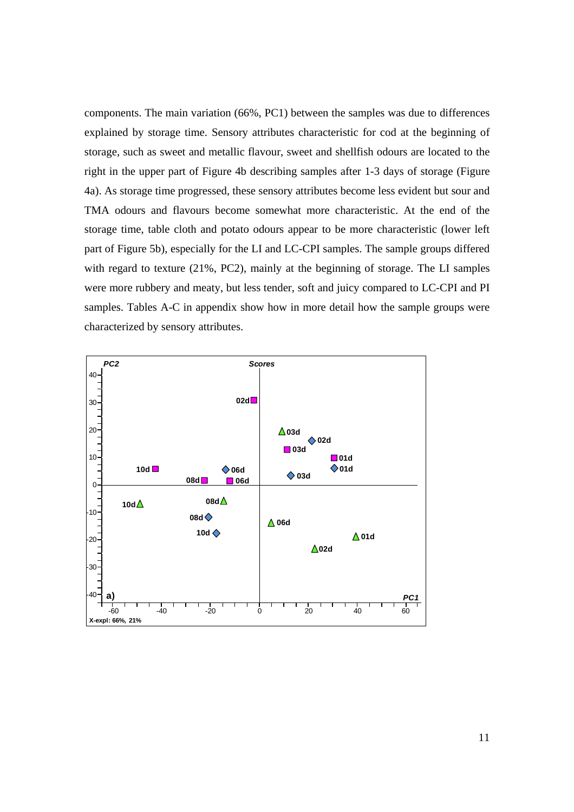components. The main variation (66%, PC1) between the samples was due to differences explained by storage time. Sensory attributes characteristic for cod at the beginning of storage, such as sweet and metallic flavour, sweet and shellfish odours are located to the right in the upper part of Figure 4b describing samples after 1-3 days of storage (Figure 4a). As storage time progressed, these sensory attributes become less evident but sour and TMA odours and flavours become somewhat more characteristic. At the end of the storage time, table cloth and potato odours appear to be more characteristic (lower left part of Figure 5b), especially for the LI and LC-CPI samples. The sample groups differed with regard to texture (21%, PC2), mainly at the beginning of storage. The LI samples were more rubbery and meaty, but less tender, soft and juicy compared to LC-CPI and PI samples. Tables A-C in appendix show how in more detail how the sample groups were characterized by sensory attributes.

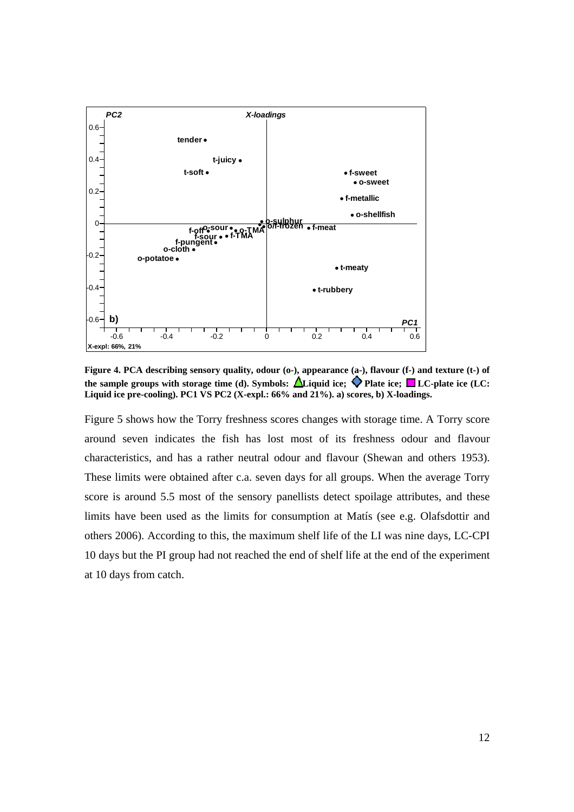

Figure 4. PCA describing sensory quality, odour (o-), appearance (a-), flavour (f-) and texture (t-) of the sample groups with storage time (d). Symbols:  $\Delta$ Liquid ice;  $\blacklozenge$  Plate ice;  $\blacksquare$  LC-plate ice (LC: **Liquid ice pre-cooling). PC1 VS PC2 (X-expl.: 66% and 21%). a) scores, b) X-loadings.** 

Figure 5 shows how the Torry freshness scores changes with storage time. A Torry score around seven indicates the fish has lost most of its freshness odour and flavour characteristics, and has a rather neutral odour and flavour (Shewan and others 1953). These limits were obtained after c.a. seven days for all groups. When the average Torry score is around 5.5 most of the sensory panellists detect spoilage attributes, and these limits have been used as the limits for consumption at Matís (see e.g. Olafsdottir and others 2006). According to this, the maximum shelf life of the LI was nine days, LC-CPI 10 days but the PI group had not reached the end of shelf life at the end of the experiment at 10 days from catch.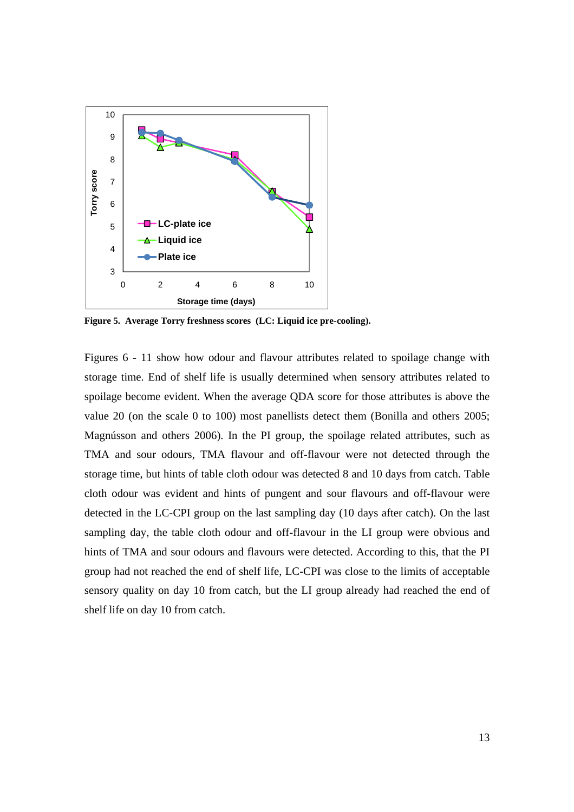

**Figure 5. Average Torry freshness scores (LC: Liquid ice pre-cooling).** 

Figures 6 - 11 show how odour and flavour attributes related to spoilage change with storage time. End of shelf life is usually determined when sensory attributes related to spoilage become evident. When the average QDA score for those attributes is above the value 20 (on the scale 0 to 100) most panellists detect them (Bonilla and others 2005; Magnússon and others 2006). In the PI group, the spoilage related attributes, such as TMA and sour odours, TMA flavour and off-flavour were not detected through the storage time, but hints of table cloth odour was detected 8 and 10 days from catch. Table cloth odour was evident and hints of pungent and sour flavours and off-flavour were detected in the LC-CPI group on the last sampling day (10 days after catch). On the last sampling day, the table cloth odour and off-flavour in the LI group were obvious and hints of TMA and sour odours and flavours were detected. According to this, that the PI group had not reached the end of shelf life, LC-CPI was close to the limits of acceptable sensory quality on day 10 from catch, but the LI group already had reached the end of shelf life on day 10 from catch.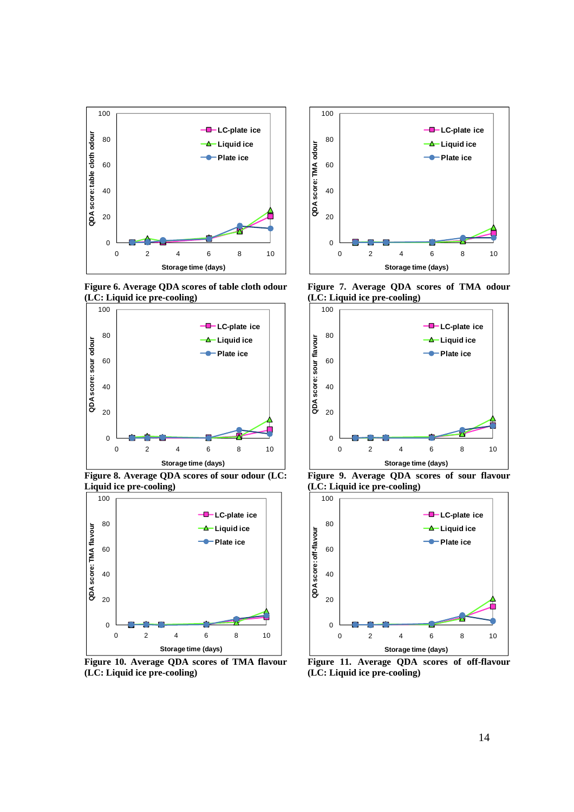

**Figure 6. Average QDA scores of table cloth odour (LC: Liquid ice pre-cooling)** 



**Figure 8. Average QDA scores of sour odour (LC: Liquid ice pre-cooling)** 



**Figure 10. Average QDA scores of TMA flavour (LC: Liquid ice pre-cooling)** 



**Figure 7. Average QDA scores of TMA odour (LC: Liquid ice pre-cooling)** 



**Figure 9. Average QDA scores of sour flavour (LC: Liquid ice pre-cooling)** 



**Figure 11. Average QDA scores of off-flavour (LC: Liquid ice pre-cooling)**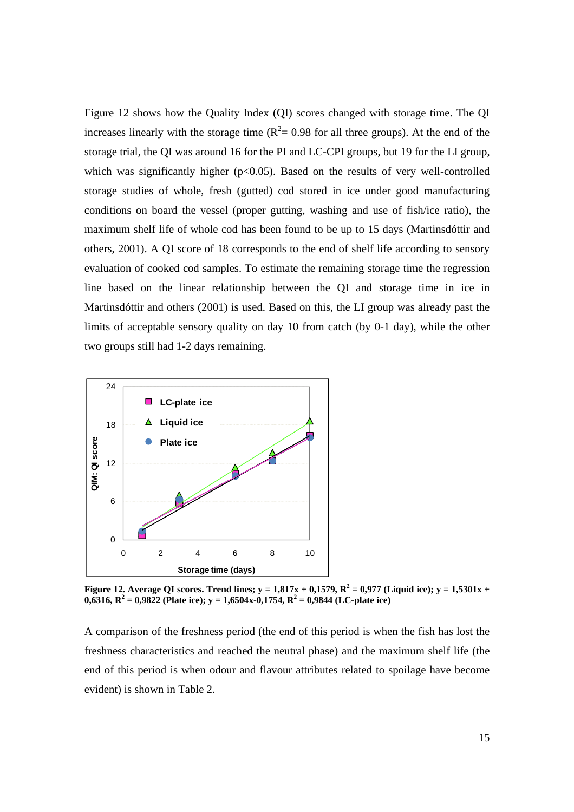Figure 12 shows how the Quality Index (QI) scores changed with storage time. The QI increases linearly with the storage time  $(R^2 = 0.98$  for all three groups). At the end of the storage trial, the QI was around 16 for the PI and LC-CPI groups, but 19 for the LI group, which was significantly higher  $(p<0.05)$ . Based on the results of very well-controlled storage studies of whole, fresh (gutted) cod stored in ice under good manufacturing conditions on board the vessel (proper gutting, washing and use of fish/ice ratio), the maximum shelf life of whole cod has been found to be up to 15 days (Martinsdóttir and others, 2001). A QI score of 18 corresponds to the end of shelf life according to sensory evaluation of cooked cod samples. To estimate the remaining storage time the regression line based on the linear relationship between the QI and storage time in ice in Martinsdóttir and others (2001) is used. Based on this, the LI group was already past the limits of acceptable sensory quality on day 10 from catch (by 0-1 day), while the other two groups still had 1-2 days remaining.



**Figure 12.** Average QI scores. Trend lines;  $y = 1,817x + 0,1579$ ,  $R^2 = 0,977$  (Liquid ice);  $y = 1,5301x + 1$  $0,6316, R^2 = 0,9822$  (Plate ice);  $y = 1,6504x-0,1754, R^2 = 0,9844$  (LC-plate ice)

A comparison of the freshness period (the end of this period is when the fish has lost the freshness characteristics and reached the neutral phase) and the maximum shelf life (the end of this period is when odour and flavour attributes related to spoilage have become evident) is shown in Table 2.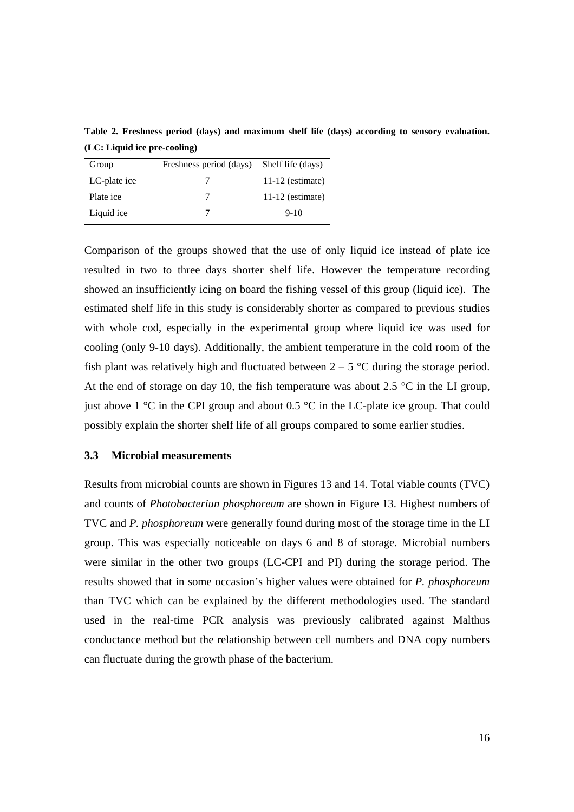**Table 2. Freshness period (days) and maximum shelf life (days) according to sensory evaluation. (LC: Liquid ice pre-cooling)** 

| Group        | Freshness period (days) | Shelf life (days)  |
|--------------|-------------------------|--------------------|
| LC-plate ice |                         | $11-12$ (estimate) |
| Plate ice    |                         | $11-12$ (estimate) |
| Liquid ice   |                         | $9-10$             |

Comparison of the groups showed that the use of only liquid ice instead of plate ice resulted in two to three days shorter shelf life. However the temperature recording showed an insufficiently icing on board the fishing vessel of this group (liquid ice). The estimated shelf life in this study is considerably shorter as compared to previous studies with whole cod, especially in the experimental group where liquid ice was used for cooling (only 9-10 days). Additionally, the ambient temperature in the cold room of the fish plant was relatively high and fluctuated between  $2 - 5$  °C during the storage period. At the end of storage on day 10, the fish temperature was about 2.5  $\degree$ C in the LI group, just above 1  $\degree$ C in the CPI group and about 0.5  $\degree$ C in the LC-plate ice group. That could possibly explain the shorter shelf life of all groups compared to some earlier studies.

## **3.3 Microbial measurements**

Results from microbial counts are shown in Figures 13 and 14. Total viable counts (TVC) and counts of *Photobacteriun phosphoreum* are shown in Figure 13. Highest numbers of TVC and *P. phosphoreum* were generally found during most of the storage time in the LI group. This was especially noticeable on days 6 and 8 of storage. Microbial numbers were similar in the other two groups (LC-CPI and PI) during the storage period. The results showed that in some occasion's higher values were obtained for *P. phosphoreum* than TVC which can be explained by the different methodologies used. The standard used in the real-time PCR analysis was previously calibrated against Malthus conductance method but the relationship between cell numbers and DNA copy numbers can fluctuate during the growth phase of the bacterium.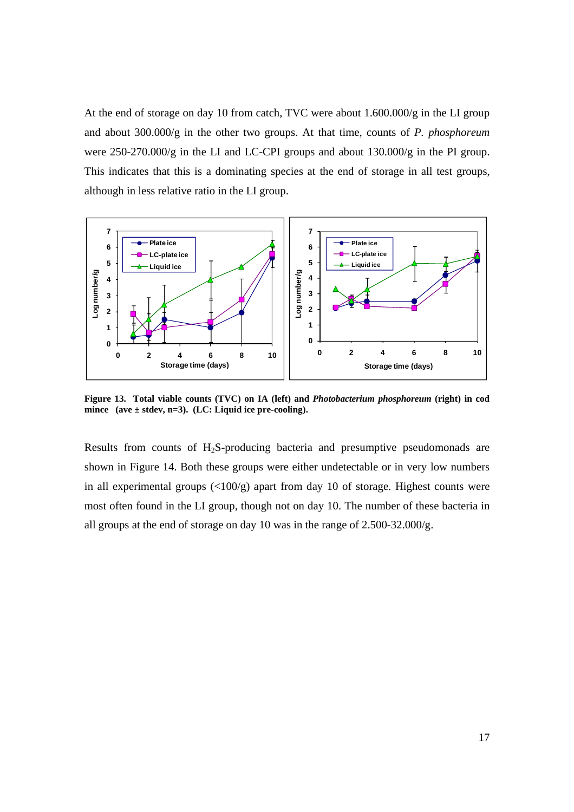At the end of storage on day 10 from catch, TVC were about 1.600.000/g in the LI group and about 300.000/g in the other two groups. At that time, counts of *P. phosphoreum* were 250-270.000/g in the LI and LC-CPI groups and about 130.000/g in the PI group. This indicates that this is a dominating species at the end of storage in all test groups, although in less relative ratio in the LI group.



**Figure 13. Total viable counts (TVC) on IA (left) and** *Photobacterium phosphoreum* **(right) in cod mince (ave ± stdev, n=3). (LC: Liquid ice pre-cooling).** 

Results from counts of H<sub>2</sub>S-producing bacteria and presumptive pseudomonads are shown in Figure 14. Both these groups were either undetectable or in very low numbers in all experimental groups  $\left( \langle 100/g \rangle \right)$  apart from day 10 of storage. Highest counts were most often found in the LI group, though not on day 10. The number of these bacteria in all groups at the end of storage on day 10 was in the range of 2.500-32.000/g.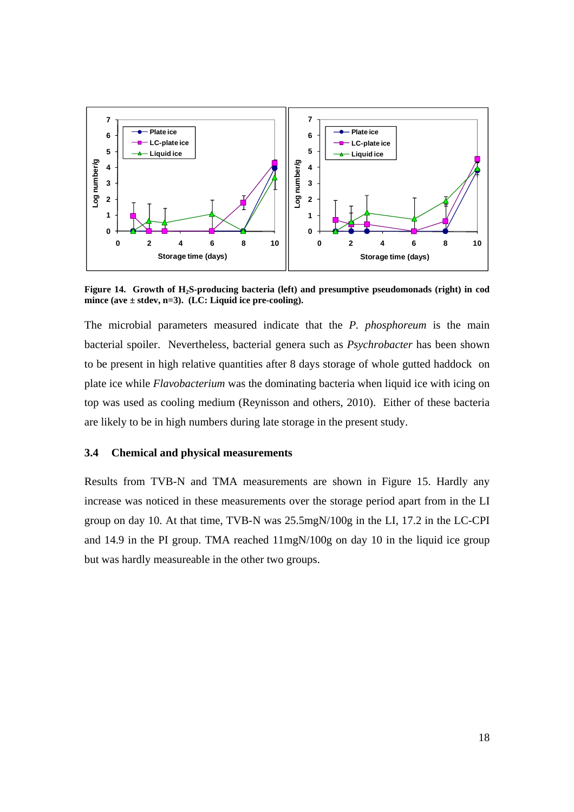

**Figure 14. Growth of H2S-producing bacteria (left) and presumptive pseudomonads (right) in cod mince (ave ± stdev, n=3). (LC: Liquid ice pre-cooling).** 

The microbial parameters measured indicate that the *P. phosphoreum* is the main bacterial spoiler. Nevertheless, bacterial genera such as *Psychrobacter* has been shown to be present in high relative quantities after 8 days storage of whole gutted haddock on plate ice while *Flavobacterium* was the dominating bacteria when liquid ice with icing on top was used as cooling medium (Reynisson and others, 2010). Either of these bacteria are likely to be in high numbers during late storage in the present study.

## **3.4 Chemical and physical measurements**

Results from TVB-N and TMA measurements are shown in Figure 15. Hardly any increase was noticed in these measurements over the storage period apart from in the LI group on day 10. At that time, TVB-N was 25.5mgN/100g in the LI, 17.2 in the LC-CPI and 14.9 in the PI group. TMA reached 11mgN/100g on day 10 in the liquid ice group but was hardly measureable in the other two groups.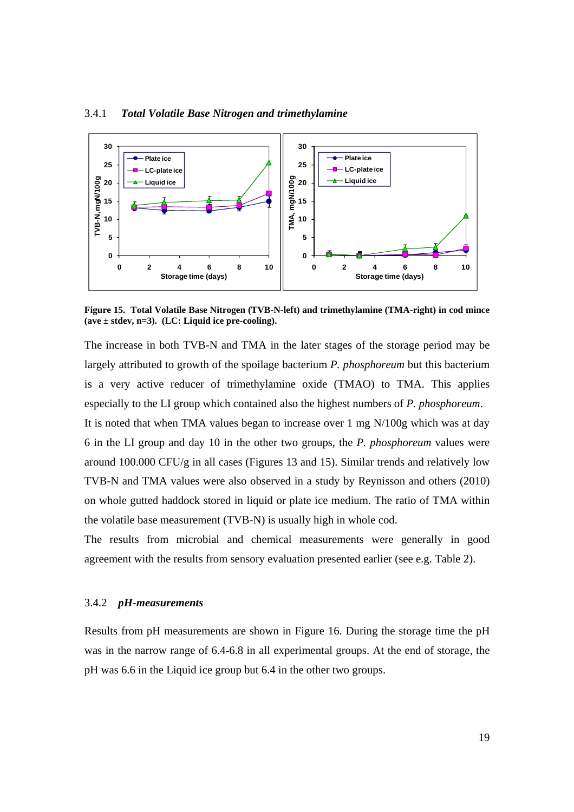

### 3.4.1 *Total Volatile Base Nitrogen and trimethylamine*

**Figure 15. Total Volatile Base Nitrogen (TVB-N-left) and trimethylamine (TMA-right) in cod mince (ave ± stdev, n=3). (LC: Liquid ice pre-cooling).** 

The increase in both TVB-N and TMA in the later stages of the storage period may be largely attributed to growth of the spoilage bacterium *P. phosphoreum* but this bacterium is a very active reducer of trimethylamine oxide (TMAO) to TMA. This applies especially to the LI group which contained also the highest numbers of *P. phosphoreum*. It is noted that when TMA values began to increase over 1 mg N/100g which was at day

6 in the LI group and day 10 in the other two groups, the *P. phosphoreum* values were around 100.000 CFU/g in all cases (Figures 13 and 15). Similar trends and relatively low TVB-N and TMA values were also observed in a study by Reynisson and others (2010) on whole gutted haddock stored in liquid or plate ice medium. The ratio of TMA within the volatile base measurement (TVB-N) is usually high in whole cod.

The results from microbial and chemical measurements were generally in good agreement with the results from sensory evaluation presented earlier (see e.g. Table 2).

## 3.4.2 *pH-measurements*

Results from pH measurements are shown in Figure 16. During the storage time the pH was in the narrow range of 6.4-6.8 in all experimental groups. At the end of storage, the pH was 6.6 in the Liquid ice group but 6.4 in the other two groups.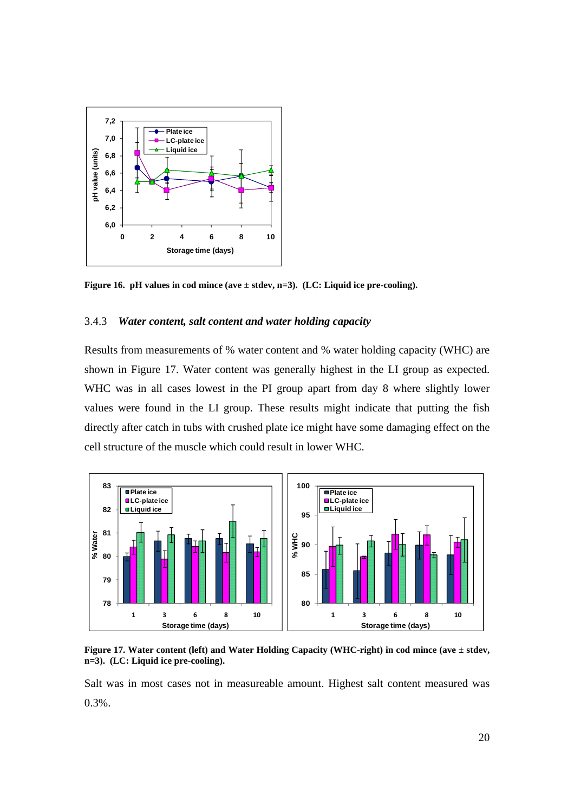

**Figure 16. pH values in cod mince (ave ± stdev, n=3). (LC: Liquid ice pre-cooling).** 

## 3.4.3 *Water content, salt content and water holding capacity*

Results from measurements of % water content and % water holding capacity (WHC) are shown in Figure 17. Water content was generally highest in the LI group as expected. WHC was in all cases lowest in the PI group apart from day 8 where slightly lower values were found in the LI group. These results might indicate that putting the fish directly after catch in tubs with crushed plate ice might have some damaging effect on the cell structure of the muscle which could result in lower WHC.



**Figure 17. Water content (left) and Water Holding Capacity (WHC-right) in cod mince (ave ± stdev, n=3). (LC: Liquid ice pre-cooling).** 

Salt was in most cases not in measureable amount. Highest salt content measured was 0.3%.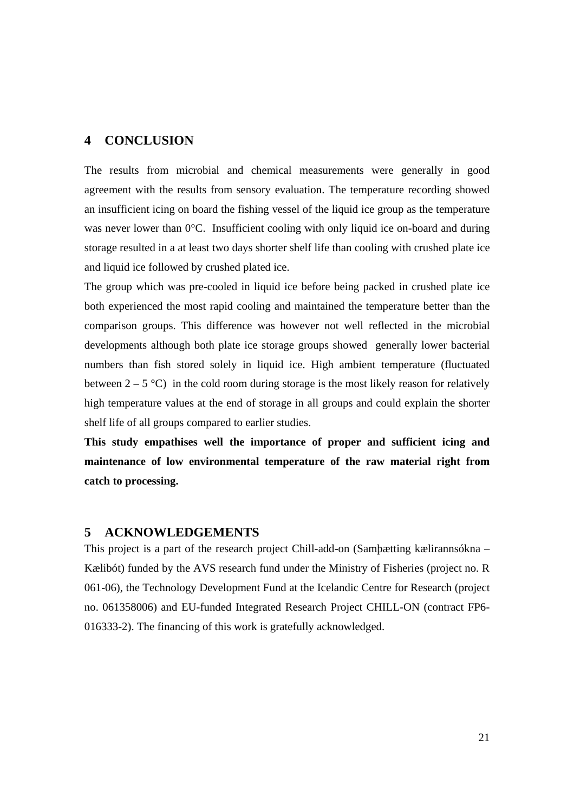# **4 CONCLUSION**

The results from microbial and chemical measurements were generally in good agreement with the results from sensory evaluation. The temperature recording showed an insufficient icing on board the fishing vessel of the liquid ice group as the temperature was never lower than  $0^{\circ}$ C. Insufficient cooling with only liquid ice on-board and during storage resulted in a at least two days shorter shelf life than cooling with crushed plate ice and liquid ice followed by crushed plated ice.

The group which was pre-cooled in liquid ice before being packed in crushed plate ice both experienced the most rapid cooling and maintained the temperature better than the comparison groups. This difference was however not well reflected in the microbial developments although both plate ice storage groups showed generally lower bacterial numbers than fish stored solely in liquid ice. High ambient temperature (fluctuated between  $2 - 5$  °C) in the cold room during storage is the most likely reason for relatively high temperature values at the end of storage in all groups and could explain the shorter shelf life of all groups compared to earlier studies.

**This study empathises well the importance of proper and sufficient icing and maintenance of low environmental temperature of the raw material right from catch to processing.** 

## **5 ACKNOWLEDGEMENTS**

This project is a part of the research project Chill-add-on (Samþætting kælirannsókna – Kælibót) funded by the AVS research fund under the Ministry of Fisheries (project no. R 061-06), the Technology Development Fund at the Icelandic Centre for Research (project no. 061358006) and EU-funded Integrated Research Project CHILL-ON (contract FP6- 016333-2). The financing of this work is gratefully acknowledged.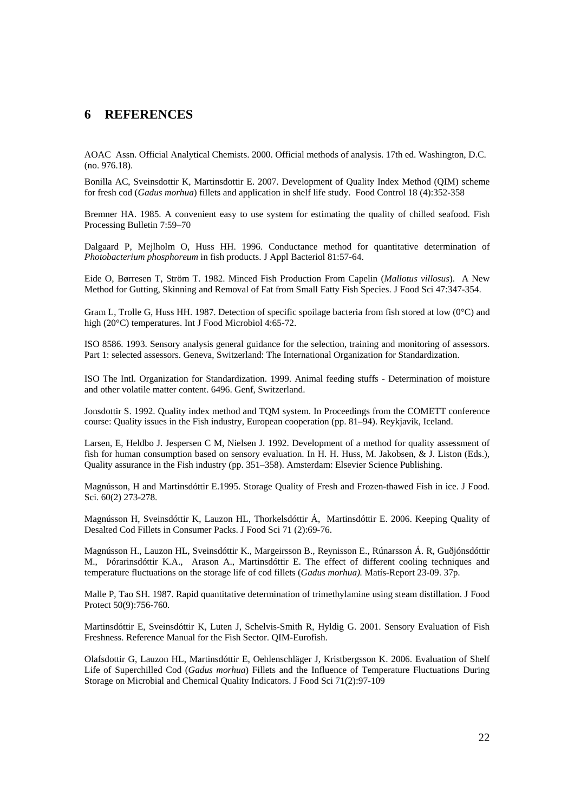## **6 REFERENCES**

AOAC Assn. Official Analytical Chemists. 2000. Official methods of analysis. 17th ed. Washington, D.C. (no. 976.18).

Bonilla AC, Sveinsdottir K, Martinsdottir E. 2007. Development of Quality Index Method (QIM) scheme for fresh cod (*Gadus morhua*) fillets and application in shelf life study. Food Control 18 (4):352-358

Bremner HA. 1985. A convenient easy to use system for estimating the quality of chilled seafood. Fish Processing Bulletin 7:59–70

Dalgaard P, Mejlholm O, Huss HH. 1996. Conductance method for quantitative determination of *Photobacterium phosphoreum* in fish products. J Appl Bacteriol 81:57-64.

Eide O, Børresen T, Ström T. 1982. Minced Fish Production From Capelin (*Mallotus villosus*). A New Method for Gutting, Skinning and Removal of Fat from Small Fatty Fish Species. J Food Sci 47:347-354.

Gram L, Trolle G, Huss HH. 1987. Detection of specific spoilage bacteria from fish stored at low (0°C) and high (20°C) temperatures. Int J Food Microbiol 4:65-72.

ISO 8586. 1993. Sensory analysis general guidance for the selection, training and monitoring of assessors. Part 1: selected assessors. Geneva, Switzerland: The International Organization for Standardization.

ISO The Intl. Organization for Standardization. 1999. Animal feeding stuffs - Determination of moisture and other volatile matter content. 6496. Genf, Switzerland.

Jonsdottir S. 1992. Quality index method and TQM system. In Proceedings from the COMETT conference course: Quality issues in the Fish industry, European cooperation (pp. 81–94). Reykjavik, Iceland.

Larsen, E, Heldbo J. Jespersen C M, Nielsen J. 1992. Development of a method for quality assessment of fish for human consumption based on sensory evaluation. In H. H. Huss, M. Jakobsen, & J. Liston (Eds.), Quality assurance in the Fish industry (pp. 351–358). Amsterdam: Elsevier Science Publishing.

Magnússon, H and Martinsdóttir E.1995. Storage Quality of Fresh and Frozen-thawed Fish in ice. J Food. Sci. 60(2) 273-278.

Magnússon H, Sveinsdóttir K, Lauzon HL, Thorkelsdóttir Á, Martinsdóttir E. 2006. Keeping Quality of Desalted Cod Fillets in Consumer Packs. J Food Sci 71 (2):69-76.

Magnússon H., Lauzon HL, Sveinsdóttir K., Margeirsson B., Reynisson E., Rúnarsson Á. R, Guðjónsdóttir M., Þórarinsdóttir K.A., Arason A., Martinsdóttir E. The effect of different cooling techniques and temperature fluctuations on the storage life of cod fillets (*Gadus morhua).* Matís-Report 23-09. 37p.

Malle P, Tao SH. 1987. Rapid quantitative determination of trimethylamine using steam distillation. J Food Protect 50(9):756-760.

Martinsdóttir E, Sveinsdóttir K, Luten J, Schelvis-Smith R, Hyldig G. 2001. Sensory Evaluation of Fish Freshness. Reference Manual for the Fish Sector. QIM-Eurofish.

Olafsdottir G, Lauzon HL, Martinsdóttir E, Oehlenschläger J, Kristbergsson K. 2006. Evaluation of Shelf Life of Superchilled Cod (*Gadus morhua*) Fillets and the Influence of Temperature Fluctuations During Storage on Microbial and Chemical Quality Indicators. J Food Sci 71(2):97-109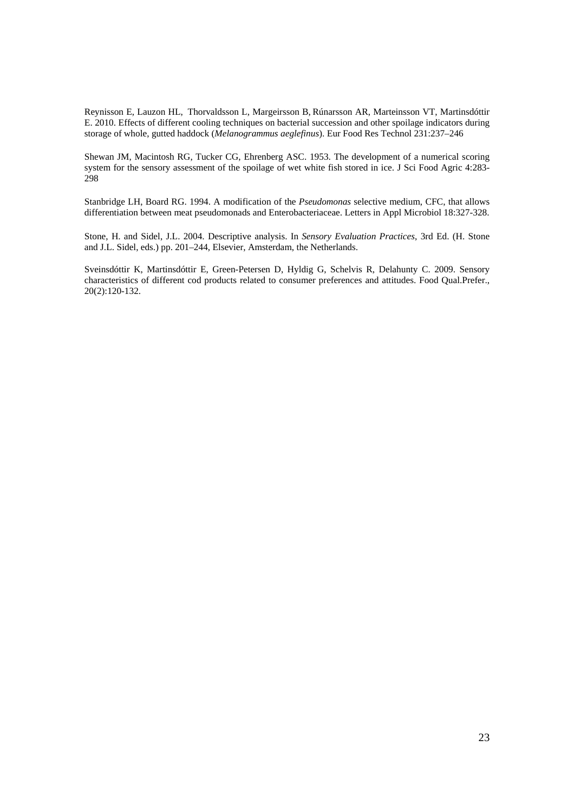Reynisson E, Lauzon HL, Thorvaldsson L, Margeirsson B, Rúnarsson AR, Marteinsson VT, Martinsdóttir E. 2010. Effects of different cooling techniques on bacterial succession and other spoilage indicators during storage of whole, gutted haddock (*Melanogrammus aeglefinus*). Eur Food Res Technol 231:237–246

Shewan JM, Macintosh RG, Tucker CG, Ehrenberg ASC. 1953. The development of a numerical scoring system for the sensory assessment of the spoilage of wet white fish stored in ice. J Sci Food Agric 4:283-298

Stanbridge LH, Board RG. 1994. A modification of the *Pseudomonas* selective medium, CFC, that allows differentiation between meat pseudomonads and Enterobacteriaceae. Letters in Appl Microbiol 18:327-328.

Stone, H. and Sidel, J.L. 2004. Descriptive analysis. In *Sensory Evaluation Practices*, 3rd Ed. (H. Stone and J.L. Sidel, eds.) pp. 201–244, Elsevier, Amsterdam, the Netherlands.

Sveinsdóttir K, Martinsdóttir E, Green-Petersen D, Hyldig G, Schelvis R, Delahunty C. 2009. Sensory characteristics of different cod products related to consumer preferences and attitudes. Food Qual.Prefer., 20(2):120-132.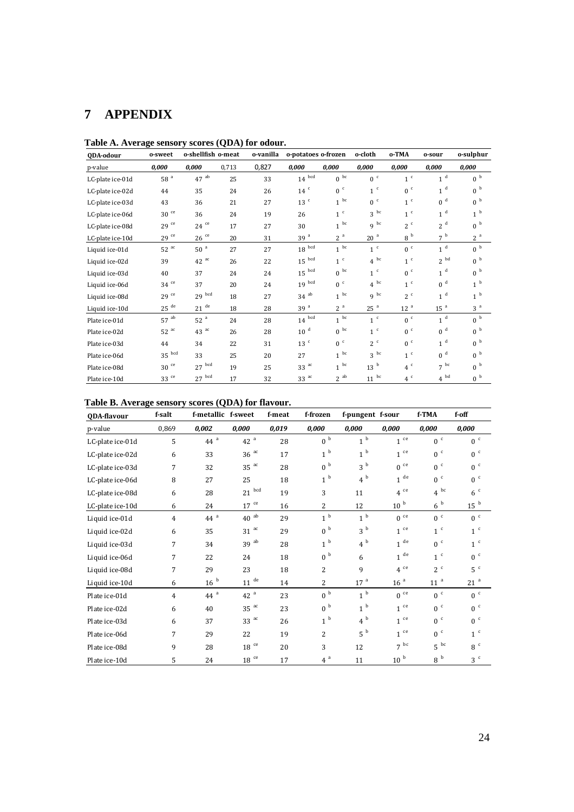# **7 APPENDIX**

| QDA-odour        | o-sweet             | o-shellfish o-meat  |       | o-vanilla | o-potatoes o-frozen |                 | o-cloth         | o-TMA           | o-sour            | o-sulphur      |
|------------------|---------------------|---------------------|-------|-----------|---------------------|-----------------|-----------------|-----------------|-------------------|----------------|
| p-value          | 0,000               | 0,000               | 0,713 | 0,827     | 0,000               | 0,000           | 0,000           | 0,000           | 0,000             | 0.000          |
| LC-plate ice-01d | 58 <sup>a</sup>     | $47$ <sup>ab</sup>  | 25    | 33        | $14^{bcd}$          | 0 <sup>bc</sup> | 0 <sup>c</sup>  | 1 <sup>c</sup>  | 1 <sup>d</sup>    | 0 <sup>b</sup> |
| LC-plate ice-02d | 44                  | 35                  | 24    | 26        | $14$ <sup>c</sup>   | 0 <sup>c</sup>  | 1 <sup>c</sup>  | 0 <sup>c</sup>  | 1 <sup>d</sup>    | $0^{-b}$       |
| LC-plate ice-03d | 43                  | 36                  | 21    | 27        | 13 <sup>c</sup>     | $1^{bc}$        | 0 <sup>c</sup>  | 1 <sup>c</sup>  | 0 <sup>d</sup>    | 0 <sup>b</sup> |
| LC-plate ice-06d | $30\,$ $^{\rm{ce}}$ | 36                  | 24    | 19        | 26                  | 1 <sup>c</sup>  | 3 <sup>bc</sup> | 1 <sup>c</sup>  | 1 <sup>d</sup>    | 1 <sup>b</sup> |
| LC-plate ice-08d | $29$ <sup>ce</sup>  | $24$ ce             | 17    | 27        | 30                  | $1^{bc}$        | $9^{bc}$        | 2 <sup>c</sup>  | 2 <sup>d</sup>    | 0 <sup>b</sup> |
| LC-plate ice-10d | $29$ <sup>ce</sup>  | $26$ <sup>ce</sup>  | 20    | 31        | 39 <sup>a</sup>     | 2 <sup>a</sup>  | 20 <sup>a</sup> | 8 <sup>b</sup>  | 7 <sup>b</sup>    | 2 <sup>a</sup> |
| Liquid ice-01d   | $52^{ac}$           | 50 <sup>a</sup>     | 27    | 27        | $18\,$ $^{\rm bcd}$ | $1^{bc}$        | 1 <sup>c</sup>  | 0 <sup>c</sup>  | 1 <sup>d</sup>    | 0 <sup>b</sup> |
| Liquid ice-02d   | 39                  | $42$ <sup>ac</sup>  | 26    | 22        | $15\,$ $^{\rm bcd}$ | 1 <sup>c</sup>  | $4^{bc}$        | 1 <sup>c</sup>  | 2 <sup>bd</sup>   | 0 <sup>b</sup> |
| Liquid ice-03d   | 40                  | 37                  | 24    | 24        | $15\,$ $^{\rm bcd}$ | $0^{bc}$        | 1 <sup>c</sup>  | 0 <sup>c</sup>  | 1 <sup>d</sup>    | 0 <sup>b</sup> |
| Liquid ice-06d   | $34$ ce             | 37                  | 20    | 24        | $19\,$ $^{\rm bcd}$ | 0 <sup>c</sup>  | $4^{bc}$        | 1 <sup>c</sup>  | 0 <sup>d</sup>    | 1 <sup>b</sup> |
| Liquid ice-08d   | $29$ <sup>ce</sup>  | $29\,$ $^{\rm bcd}$ | 18    | 27        | $34$ <sup>ab</sup>  | $1^{bc}$        | q bc            | 2 <sup>c</sup>  | d<br>$\mathbf{1}$ | 1 <sup>b</sup> |
| Liquid ice-10d   | $25$ <sup>de</sup>  | $21$ <sup>de</sup>  | 18    | 28        | 39 <sup>a</sup>     | 2 <sup>a</sup>  | 25 <sup>a</sup> | 12 <sup>a</sup> | 15 <sup>a</sup>   | 3 <sup>a</sup> |
| Plate ice-01d    | $57$ <sup>ab</sup>  | 52 <sup>a</sup>     | 24    | 28        | $14\,$ $^{\rm bcd}$ | $1^{bc}$        | 1 <sup>c</sup>  | 0 <sup>c</sup>  | 1 <sup>d</sup>    | 0 <sup>b</sup> |
| Plate ice-02d    | $52^{ac}$           | $43$ <sup>ac</sup>  | 26    | 28        | 10 <sup>d</sup>     | $0^{bc}$        | 1 <sup>c</sup>  | 0 <sup>c</sup>  | 0 <sup>d</sup>    | 0 <sup>b</sup> |
| Plate ice-03d    | 44                  | 34                  | 22    | 31        | 13 <sup>c</sup>     | 0 <sup>c</sup>  | 2 <sup>c</sup>  | 0 <sup>c</sup>  | 1 <sup>d</sup>    | 0 <sup>b</sup> |
| Plate ice-06d    | $35\,$ $^{\rm bcd}$ | 33                  | 25    | 20        | 27                  | $1^{bc}$        | $3^{bc}$        | 1 <sup>c</sup>  | 0 <sup>d</sup>    | 0 <sup>b</sup> |
| Plate ice-08d    | $30$ ce             | $27\,$ $^{\rm bcd}$ | 19    | 25        | $33$ <sup>ac</sup>  | $1^{bc}$        | 13 <sup>b</sup> | 4 <sup>c</sup>  | $7^{bc}$          | 0 <sup>b</sup> |
| Plate ice-10d    | 33 <sup>ce</sup>    | $27\,$ $^{\rm bcd}$ | 17    | 32        | 33 <sup>ac</sup>    | $2^{ab}$        | $11~^{\rm bc}$  | 4c              | $4^{bd}$          | 0 <sup>b</sup> |

**Table A. Average sensory scores (QDA) for odour.** 

| Table B. Average sensory scores (QDA) for flavour. |  |  |  |  |  |  |  |  |  |
|----------------------------------------------------|--|--|--|--|--|--|--|--|--|
|----------------------------------------------------|--|--|--|--|--|--|--|--|--|

| QDA-flavour      | f-salt         | f-metallic f-sweet |                  | f-meat | f-frozen       | f-pungent f-sour |                    | f-TMA            | f-off             |
|------------------|----------------|--------------------|------------------|--------|----------------|------------------|--------------------|------------------|-------------------|
| p-value          | 0,869          | 0,002              | 0,000            | 0,019  | 0,000          | 0,000            | 0,000              | 0,000            | 0,000             |
| LC-plate ice-01d | 5              | 44 $a$             | 42 <sup>a</sup>  | 28     | 0 <sup>b</sup> | 1 <sup>b</sup>   | $1~^{\rm{ce}}$     | 0 <sup>c</sup>   | 0 <sup>c</sup>    |
| LC-plate ice-02d | 6              | 33                 | $36^{ac}$        | 17     | 1 <sup>b</sup> | 1 <sup>b</sup>   | $1~^{\rm{ce}}$     | 0 <sup>c</sup>   | 0 <sup>c</sup>    |
| LC-plate ice-03d | 7              | 32                 | $35~^{\rm ac}$   | 28     | 0 <sup>b</sup> | 3 <sup>b</sup>   | ce<br>$\Omega$     | 0 <sup>c</sup>   | 0 <sup>c</sup>    |
| LC-plate ice-06d | 8              | 27                 | 25               | 18     | 1 <sup>b</sup> | 4 <sup>b</sup>   | $1$ $^{\rm{de}}$   | 0 <sup>c</sup>   | 0 <sup>c</sup>    |
| LC-plate ice-08d | 6              | 28                 | bcd<br>21        | 19     | 3              | 11               | ce<br>4            | $4^{bc}$         | 6 <sup>c</sup>    |
| LC-plate ice-10d | 6              | 24                 | $17$ ce          | 16     | $\overline{2}$ | 12               | $10^{-b}$          | 6 <sup>b</sup>   | $15\,$ $^{\rm b}$ |
| Liquid ice-01d   | $\overline{4}$ | 44 <sup>a</sup>    | $40$ $^{\rm ab}$ | 29     | 1 <sup>b</sup> | 1 <sup>b</sup>   | $0^{\circ}$        | 0 <sup>c</sup>   | 0 <sup>c</sup>    |
| Liquid ice-02d   | 6              | 35                 | ac<br>31         | 29     | 0 <sup>b</sup> | 3 <sup>b</sup>   | $1~^{\rm{ce}}$     | 1 <sup>c</sup>   | 1 <sup>c</sup>    |
| Liquid ice-03d   | 7              | 34                 | 39 <sup>ab</sup> | 28     | 1 <sup>b</sup> | 4 <sup>b</sup>   | $1$ $^{\rm{de}}$   | 0 <sup>c</sup>   | 1 <sup>c</sup>    |
| Liquid ice-06d   | 7              | 22                 | 24               | 18     | 0 <sup>b</sup> | 6                | de<br>$\mathbf{1}$ | 1 <sup>c</sup>   | 0 <sup>c</sup>    |
| Liquid ice-08d   | 7              | 29                 | 23               | 18     | $\overline{2}$ | 9                | $4^{ce}$           | 2 <sup>c</sup>   | 5 <sup>c</sup>    |
| Liquid ice-10d   | 6              | 16 <sup>b</sup>    | de<br>11         | 14     | 2              | $17^{-a}$        | 16 <sup>a</sup>    | 11 <sup>a</sup>  | 21 <sup>a</sup>   |
| Plate ice-01d    | $\overline{4}$ | 44 <sup>a</sup>    | 42 <sup>a</sup>  | 23     | 0 <sup>b</sup> | 1 <sup>b</sup>   | $0$ $^{\rm{ce}}$   | 0 <sup>c</sup>   | 0 <sup>c</sup>    |
| Plate ice-02d    | 6              | 40                 | $35^{ac}$        | 23     | 0 <sup>b</sup> | 1 <sup>b</sup>   | ce<br>1            | 0 <sup>c</sup>   | 0 <sup>c</sup>    |
| Plate ice-03d    | 6              | 37                 | $33^{ac}$        | 26     | 1 <sup>b</sup> | 4 <sup>b</sup>   | $1^{ce}$           | 0 <sup>c</sup>   | 0 <sup>c</sup>    |
| Plate ice-06d    | 7              | 29                 | 22               | 19     | 2              | 5 <sup>b</sup>   | ce<br>$\mathbf{1}$ | 0 <sup>c</sup>   | 1 <sup>c</sup>    |
| Plate ice-08d    | 9              | 28                 | 18 <sup>ce</sup> | 20     | 3              | 12               | $7^{bc}$           | $5^{bc}$         | 8 <sup>c</sup>    |
| Plate ice-10d    | 5              | 24                 | ce<br>18         | 17     | 4a             | 11               | $10^{-b}$          | $8\,$ $^{\rm b}$ | 3 <sup>c</sup>    |